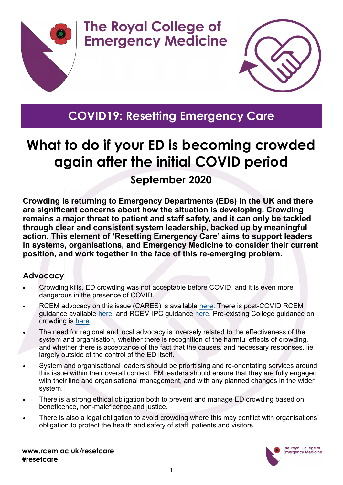



## **COVID19: Resetting Emergency Care**

**The Royal College of** 

**Emergency Medicine** 

# **What to do if your ED is becoming crowded again after the initial COVID period**

#### **September 2020**

**Crowding is returning to Emergency Departments (EDs) in the UK and there are significant concerns about how the situation is developing. Crowding remains a major threat to patient and staff safety, and it can only be tackled through clear and consistent system leadership, backed up by meaningful action. This element of 'Resetting Emergency Care' aims to support leaders in systems, organisations, and Emergency Medicine to consider their current position, and work together in the face of this re-emerging problem.** 

#### **Advocacy**

- Crowding kills. ED crowding was not acceptable before COVID, and it is even more dangerous in the presence of COVID.
- RCEM advocacy on this issue (CARES) is available [here.](https://www.rcem.ac.uk/RCEM/Quality_Policy/Policy/RCEM_CARES/RCEM/Quality-Policy/Policy/RCEM_CARES.aspx) There is post-COVID RCEM guidance available [here,](https://www.rcem.ac.uk/docs/Policy/RCEM_Position_statement_Resetting_Emergency_Care_20200506.pdf) and RCEM IPC guidance [here.](https://www.rcem.ac.uk/docs/RCEM%20Guidance/RCEM_BPC_Guideline_COVID_IPC_090620.pdf) Pre-existing College quidance on crowding is [here.](https://www.rcem.ac.uk/RCEM/Quality_Policy/Professional_Affairs/Service_Design_Delivery/ED_Crowding/RCEM/Quality-Policy/Professional_Affairs/Service_Design_Delivery/ED_Crowding.aspx)
- The need for regional and local advocacy is inversely related to the effectiveness of the system and organisation, whether there is recognition of the harmful effects of crowding, and whether there is acceptance of the fact that the causes, and necessary responses, lie largely outside of the control of the ED itself.
- System and organisational leaders should be prioritising and re-orientating services around this issue within their overall context. EM leaders should ensure that they are fully engaged with their line and organisational management, and with any planned changes in the wider system.
- There is a strong ethical obligation both to prevent and manage ED crowding based on beneficence, non-maleficence and justice.
- There is also a legal obligation to avoid crowding where this may conflict with organisations' obligation to protect the health and safety of staff, patients and visitors.

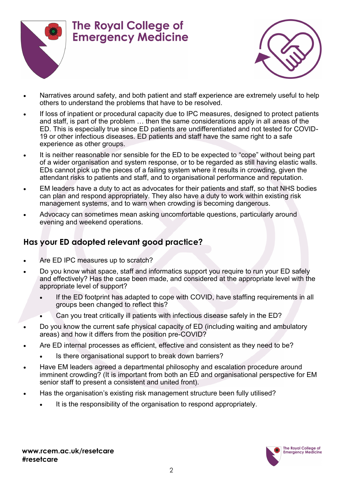



- Narratives around safety, and both patient and staff experience are extremely useful to help others to understand the problems that have to be resolved.
- If loss of inpatient or procedural capacity due to IPC measures, designed to protect patients and staff, is part of the problem … then the same considerations apply in all areas of the ED. This is especially true since ED patients are undifferentiated and not tested for COVID-19 or other infectious diseases. ED patients and staff have the same right to a safe experience as other groups.
- It is neither reasonable nor sensible for the ED to be expected to "cope" without being part of a wider organisation and system response, or to be regarded as still having elastic walls. EDs cannot pick up the pieces of a failing system where it results in crowding, given the attendant risks to patients and staff, and to organisational performance and reputation.
- EM leaders have a duty to act as advocates for their patients and staff, so that NHS bodies can plan and respond appropriately. They also have a duty to work within existing risk management systems, and to warn when crowding is becoming dangerous.
- Advocacy can sometimes mean asking uncomfortable questions, particularly around evening and weekend operations.

#### **Has your ED adopted relevant good practice?**

- Are ED IPC measures up to scratch?
- Do you know what space, staff and informatics support you require to run your ED safely and effectively? Has the case been made, and considered at the appropriate level with the appropriate level of support?
	- If the ED footprint has adapted to cope with COVID, have staffing requirements in all groups been changed to reflect this?
	- Can you treat critically ill patients with infectious disease safely in the ED?
- Do you know the current safe physical capacity of ED (including waiting and ambulatory areas) and how it differs from the position pre-COVID?
- Are ED internal processes as efficient, effective and consistent as they need to be?
	- Is there organisational support to break down barriers?
- Have EM leaders agreed a departmental philosophy and escalation procedure around imminent crowding? (It is important from both an ED and organisational perspective for EM senior staff to present a consistent and united front).
- Has the organisation's existing risk management structure been fully utilised?
	- It is the responsibility of the organisation to respond appropriately.

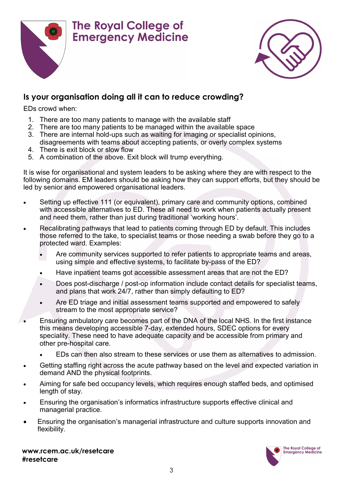



#### **Is your organisation doing all it can to reduce crowding?**

EDs crowd when:

- 1. There are too many patients to manage with the available staff
- 2. There are too many patients to be managed within the available space
- 3. There are internal hold-ups such as waiting for imaging or specialist opinions, disagreements with teams about accepting patients, or overly complex systems
- 4. There is exit block or slow flow
- 5. A combination of the above. Exit block will trump everything.

It is wise for organisational and system leaders to be asking where they are with respect to the following domains. EM leaders should be asking how they can support efforts, but they should be led by senior and empowered organisational leaders.

- Setting up effective 111 (or equivalent), primary care and community options, combined with accessible alternatives to ED. These all need to work when patients actually present and need them, rather than just during traditional 'working hours'.
- Recalibrating pathways that lead to patients coming through ED by default. This includes those referred to the take, to specialist teams or those needing a swab before they go to a protected ward. Examples:
	- Are community services supported to refer patients to appropriate teams and areas, using simple and effective systems, to facilitate by-pass of the ED?
	- Have inpatient teams got accessible assessment areas that are not the ED?
	- Does post-discharge / post-op information include contact details for specialist teams, and plans that work 24/7, rather than simply defaulting to ED?
	- Are ED triage and initial assessment teams supported and empowered to safely stream to the most appropriate service?
- Ensuring ambulatory care becomes part of the DNA of the local NHS. In the first instance this means developing accessible 7-day, extended hours, SDEC options for every speciality. These need to have adequate capacity and be accessible from primary and other pre-hospital care.
	- EDs can then also stream to these services or use them as alternatives to admission.
- Getting staffing right across the acute pathway based on the level and expected variation in demand AND the physical footprints.
- Aiming for safe bed occupancy levels, which requires enough staffed beds, and optimised length of stay.
- Ensuring the organisation's informatics infrastructure supports effective clinical and managerial practice.
- Ensuring the organisation's managerial infrastructure and culture supports innovation and flexibility.

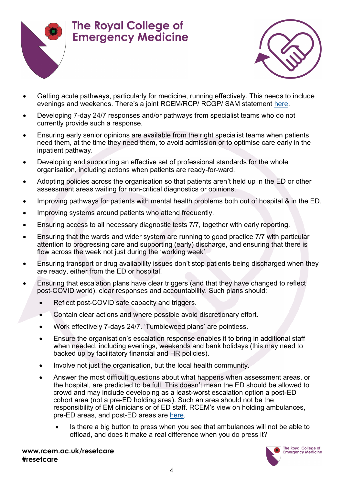



- Getting acute pathways, particularly for medicine, running effectively. This needs to include evenings and weekends. There's a joint RCEM/RCP/ RCGP/ SAM statement [here.](https://www.rcplondon.ac.uk/guidelines-policy/rebuilding-nhs-improving-medical-pathways-acute-care)
- Developing 7-day 24/7 responses and/or pathways from specialist teams who do not currently provide such a response.
- Ensuring early senior opinions are available from the right specialist teams when patients need them, at the time they need them, to avoid admission or to optimise care early in the inpatient pathway.
- Developing and supporting an effective set of professional standards for the whole organisation, including actions when patients are ready-for-ward.
- Adopting policies across the organisation so that patients aren't held up in the ED or other assessment areas waiting for non-critical diagnostics or opinions.
- Improving pathways for patients with mental health problems both out of hospital & in the ED.
- Improving systems around patients who attend frequently.
- Ensuring access to all necessary diagnostic tests 7/7, together with early reporting.
- Ensuring that the wards and wider system are running to good practice 7/7 with particular attention to progressing care and supporting (early) discharge, and ensuring that there is flow across the week not just during the 'working week'.
- Ensuring transport or drug availability issues don't stop patients being discharged when they are ready, either from the ED or hospital.
- Ensuring that escalation plans have clear triggers (and that they have changed to reflect post-COVID world), clear responses and accountability. Such plans should:
	- Reflect post-COVID safe capacity and triggers.
	- Contain clear actions and where possible avoid discretionary effort.
	- Work effectively 7-days 24/7. 'Tumbleweed plans' are pointless.
	- Ensure the organisation's escalation response enables it to bring in additional staff when needed, including evenings, weekends and bank holidays (this may need to backed up by facilitatory financial and HR policies).
	- Involve not just the organisation, but the local health community.
	- Answer the most difficult questions about what happens when assessment areas, or the hospital, are predicted to be full. This doesn't mean the ED should be allowed to crowd and may include developing as a least-worst escalation option a post-ED cohort area (not a pre-ED holding area). Such an area should not be the responsibility of EM clinicians or of ED staff. RCEM's view on holding ambulances, pre-ED areas, and post-ED areas are [here.](https://www.rcem.ac.uk/docs/Coronavirus/Resetting%20Emergency%20Care%20FAQs%20-%20Clinical%20Leads.pdf)
		- Is there a big button to press when you see that ambulances will not be able to offload, and does it make a real difference when you do press it?